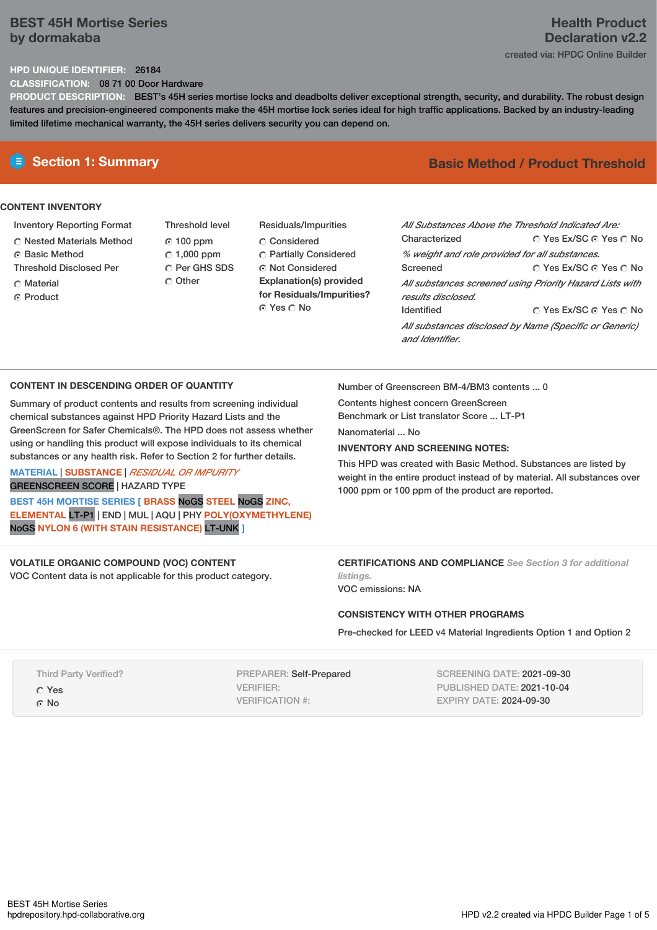## **BEST 45H Mortise Series by dormakaba**

# **Health Product Declaration v2.2** created via: HPDC Online Builder

## **HPD UNIQUE IDENTIFIER:** 26184

**CLASSIFICATION:** 08 71 00 Door Hardware

**PRODUCT DESCRIPTION:** BEST's 45H series mortise locks and deadbolts deliver exceptional strength, security, and durability. The robust design features and precision-engineered components make the 45H mortise lock series ideal for high traffic applications. Backed by an industry-leading limited lifetime mechanical warranty, the 45H series delivers security you can depend on.

# **CONTENT INVENTORY**

- Inventory Reporting Format
- Nested Materials Method
- **C** Basic Method
- Threshold Disclosed Per
- C Material
- ⊙ Product
- Threshold level 100 ppm  $C$  1,000 ppm C Per GHS SDS C Other
- Residuals/Impurities C Considered Partially Considered ⊙ Not Considered **Explanation(s) provided for Residuals/Impurities?** ⊙ Yes O No

# **E** Section 1: Summary **Basic** Method / Product Threshold

| All Substances Above the Threshold Indicated Are:<br>Characterized             | ∩ Yes Ex/SC ∩ Yes ∩ No |  |  |
|--------------------------------------------------------------------------------|------------------------|--|--|
| % weight and role provided for all substances.                                 |                        |  |  |
| Screened                                                                       | ○ Yes Ex/SC ⊙ Yes ○ No |  |  |
| All substances screened using Priority Hazard Lists with<br>results disclosed. |                        |  |  |
| <b>Identified</b>                                                              | ∩ Yes Ex/SC ∩ Yes ∩ No |  |  |
| All substances disclosed by Name (Specific or Generic)<br>and Identifier.      |                        |  |  |

## **CONTENT IN DESCENDING ORDER OF QUANTITY**

Summary of product contents and results from screening individual chemical substances against HPD Priority Hazard Lists and the GreenScreen for Safer Chemicals®. The HPD does not assess whether using or handling this product will expose individuals to its chemical substances or any health risk. Refer to Section 2 for further details.

## **MATERIAL** | **SUBSTANCE** | *RESIDUAL OR IMPURITY* GREENSCREEN SCORE | HAZARD TYPE

**BEST 45H MORTISE SERIES [ BRASS** NoGS **STEEL** NoGS **ZINC, ELEMENTAL** LT-P1 | END | MUL | AQU | PHY **POLY(OXYMETHYLENE)** NoGS **NYLON 6 (WITH STAIN RESISTANCE)** LT-UNK **]**

## **VOLATILE ORGANIC COMPOUND (VOC) CONTENT**

VOC Content data is not applicable for this product category.

Number of Greenscreen BM-4/BM3 contents ... 0

Contents highest concern GreenScreen Benchmark or List translator Score ... LT-P1

Nanomaterial No.

# **INVENTORY AND SCREENING NOTES:**

This HPD was created with Basic Method. Substances are listed by weight in the entire product instead of by material. All substances over 1000 ppm or 100 ppm of the product are reported.

**CERTIFICATIONS AND COMPLIANCE** *See Section 3 for additional listings.*

VOC emissions: NA

## **CONSISTENCY WITH OTHER PROGRAMS**

Pre-checked for LEED v4 Material Ingredients Option 1 and Option 2

Third Party Verified? Yes © No

PREPARER: Self-Prepared VERIFIER: VERIFICATION #:

SCREENING DATE: 2021-09-30 PUBLISHED DATE: 2021-10-04 EXPIRY DATE: 2024-09-30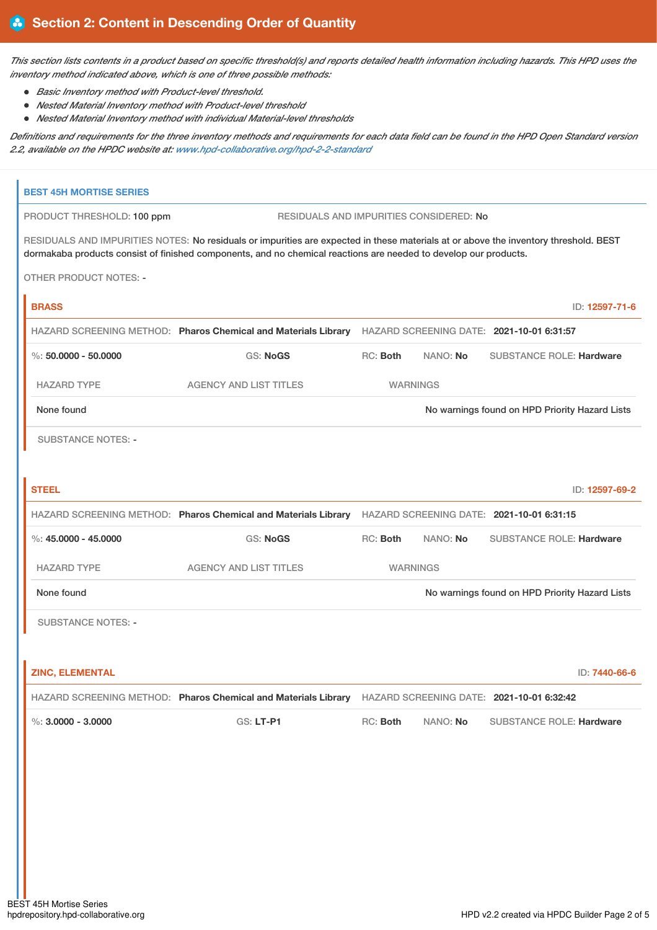This section lists contents in a product based on specific threshold(s) and reports detailed health information including hazards. This HPD uses the *inventory method indicated above, which is one of three possible methods:*

- *Basic Inventory method with Product-level threshold.*
- *Nested Material Inventory method with Product-level threshold*
- *Nested Material Inventory method with individual Material-level thresholds*

Definitions and requirements for the three inventory methods and requirements for each data field can be found in the HPD Open Standard version *2.2, available on the HPDC website at: [www.hpd-collaborative.org/hpd-2-2-standard](https://www.hpd-collaborative.org/hpd-2-2-standard)*

| <b>BEST 45H MORTISE SERIES</b>                                                                                                                                                                                                                           |                                                                                                          |                                                |                 |                                                |                |
|----------------------------------------------------------------------------------------------------------------------------------------------------------------------------------------------------------------------------------------------------------|----------------------------------------------------------------------------------------------------------|------------------------------------------------|-----------------|------------------------------------------------|----------------|
| PRODUCT THRESHOLD: 100 ppm<br>RESIDUALS AND IMPURITIES CONSIDERED: No                                                                                                                                                                                    |                                                                                                          |                                                |                 |                                                |                |
| RESIDUALS AND IMPURITIES NOTES: No residuals or impurities are expected in these materials at or above the inventory threshold. BEST<br>dormakaba products consist of finished components, and no chemical reactions are needed to develop our products. |                                                                                                          |                                                |                 |                                                |                |
| <b>OTHER PRODUCT NOTES: -</b>                                                                                                                                                                                                                            |                                                                                                          |                                                |                 |                                                |                |
| <b>BRASS</b>                                                                                                                                                                                                                                             |                                                                                                          |                                                |                 |                                                | ID: 12597-71-6 |
|                                                                                                                                                                                                                                                          | HAZARD SCREENING METHOD: Pharos Chemical and Materials Library HAZARD SCREENING DATE: 2021-10-01 6:31:57 |                                                |                 |                                                |                |
| $\%$ : 50.0000 - 50.0000                                                                                                                                                                                                                                 | <b>GS: NoGS</b>                                                                                          | RC: Both                                       | NANO: No        | <b>SUBSTANCE ROLE: Hardware</b>                |                |
| <b>HAZARD TYPE</b>                                                                                                                                                                                                                                       | <b>AGENCY AND LIST TITLES</b>                                                                            |                                                | <b>WARNINGS</b> |                                                |                |
| None found                                                                                                                                                                                                                                               |                                                                                                          |                                                |                 | No warnings found on HPD Priority Hazard Lists |                |
| <b>SUBSTANCE NOTES: -</b>                                                                                                                                                                                                                                |                                                                                                          |                                                |                 |                                                |                |
| <b>STEEL</b>                                                                                                                                                                                                                                             |                                                                                                          |                                                |                 |                                                | ID: 12597-69-2 |
|                                                                                                                                                                                                                                                          | HAZARD SCREENING METHOD: Pharos Chemical and Materials Library HAZARD SCREENING DATE: 2021-10-01 6:31:15 |                                                |                 |                                                |                |
| %: $45.0000 - 45.0000$                                                                                                                                                                                                                                   | <b>GS: NoGS</b>                                                                                          | RC: Both                                       | NANO: No        | <b>SUBSTANCE ROLE: Hardware</b>                |                |
| <b>HAZARD TYPE</b>                                                                                                                                                                                                                                       | <b>AGENCY AND LIST TITLES</b>                                                                            |                                                | <b>WARNINGS</b> |                                                |                |
| None found                                                                                                                                                                                                                                               |                                                                                                          | No warnings found on HPD Priority Hazard Lists |                 |                                                |                |
| <b>SUBSTANCE NOTES: -</b>                                                                                                                                                                                                                                |                                                                                                          |                                                |                 |                                                |                |
|                                                                                                                                                                                                                                                          |                                                                                                          |                                                |                 |                                                |                |
| <b>ZINC, ELEMENTAL</b>                                                                                                                                                                                                                                   |                                                                                                          |                                                |                 |                                                | ID: 7440-66-6  |
|                                                                                                                                                                                                                                                          | HAZARD SCREENING METHOD: Pharos Chemical and Materials Library HAZARD SCREENING DATE: 2021-10-01 6:32:42 |                                                |                 |                                                |                |
| $\%$ : 3.0000 - 3.0000                                                                                                                                                                                                                                   | GS: LT-P1                                                                                                | RC: Both                                       | NANO: No        | <b>SUBSTANCE ROLE: Hardware</b>                |                |
|                                                                                                                                                                                                                                                          |                                                                                                          |                                                |                 |                                                |                |
|                                                                                                                                                                                                                                                          |                                                                                                          |                                                |                 |                                                |                |
|                                                                                                                                                                                                                                                          |                                                                                                          |                                                |                 |                                                |                |
|                                                                                                                                                                                                                                                          |                                                                                                          |                                                |                 |                                                |                |
|                                                                                                                                                                                                                                                          |                                                                                                          |                                                |                 |                                                |                |
|                                                                                                                                                                                                                                                          |                                                                                                          |                                                |                 |                                                |                |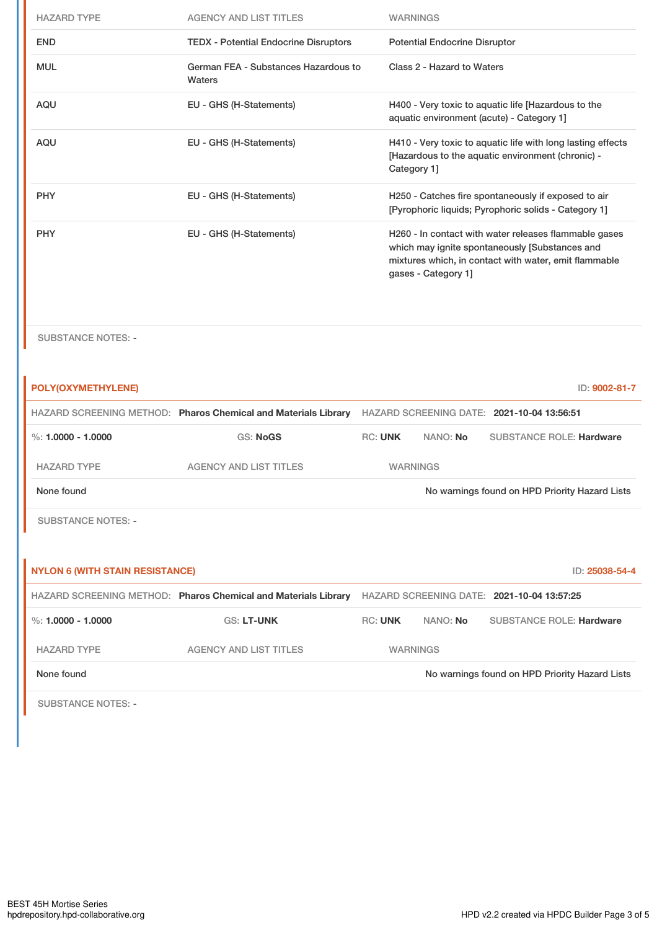| <b>HAZARD TYPE</b> | <b>AGENCY AND LIST TITLES</b>                  | <b>WARNINGS</b>                                                                                                                                                                         |
|--------------------|------------------------------------------------|-----------------------------------------------------------------------------------------------------------------------------------------------------------------------------------------|
| <b>END</b>         | <b>TEDX - Potential Endocrine Disruptors</b>   | <b>Potential Endocrine Disruptor</b>                                                                                                                                                    |
| <b>MUL</b>         | German FEA - Substances Hazardous to<br>Waters | Class 2 - Hazard to Waters                                                                                                                                                              |
| AQU                | EU - GHS (H-Statements)                        | H400 - Very toxic to aquatic life [Hazardous to the<br>aquatic environment (acute) - Category 1]                                                                                        |
| <b>AQU</b>         | EU - GHS (H-Statements)                        | H410 - Very toxic to aquatic life with long lasting effects<br>[Hazardous to the aquatic environment (chronic) -<br>Category 1]                                                         |
| <b>PHY</b>         | EU - GHS (H-Statements)                        | H250 - Catches fire spontaneously if exposed to air<br>[Pyrophoric liquids; Pyrophoric solids - Category 1]                                                                             |
| <b>PHY</b>         | EU - GHS (H-Statements)                        | H260 - In contact with water releases flammable gases<br>which may ignite spontaneously [Substances and<br>mixtures which, in contact with water, emit flammable<br>gases - Category 1] |

SUBSTANCE NOTES: -

| POLY(OXYMETHYLENE)                     |                                                                |                |                 | ID: 9002-81-7                                     |
|----------------------------------------|----------------------------------------------------------------|----------------|-----------------|---------------------------------------------------|
|                                        | HAZARD SCREENING METHOD: Pharos Chemical and Materials Library |                |                 | <b>HAZARD SCREENING DATE: 2021-10-04 13:56:51</b> |
| %: $1.0000 - 1.0000$                   | <b>GS: NoGS</b>                                                | <b>RC: UNK</b> | NANO: No        | <b>SUBSTANCE ROLE: Hardware</b>                   |
| <b>HAZARD TYPE</b>                     | <b>AGENCY AND LIST TITLES</b>                                  |                | <b>WARNINGS</b> |                                                   |
| None found                             |                                                                |                |                 | No warnings found on HPD Priority Hazard Lists    |
| <b>SUBSTANCE NOTES: -</b>              |                                                                |                |                 |                                                   |
|                                        |                                                                |                |                 |                                                   |
| <b>NYLON 6 (WITH STAIN RESISTANCE)</b> |                                                                |                |                 | ID: 25038-54-4                                    |
|                                        | HAZARD SCREENING METHOD: Pharos Chemical and Materials Library |                |                 | HAZARD SCREENING DATE: 2021-10-04 13:57:25        |
| %: $1.0000 - 1.0000$                   | <b>GS: LT-UNK</b>                                              | <b>RC: UNK</b> | NANO: No        | <b>SUBSTANCE ROLE: Hardware</b>                   |
| <b>HAZARD TYPE</b>                     | <b>AGENCY AND LIST TITLES</b>                                  |                | <b>WARNINGS</b> |                                                   |
| None found                             |                                                                |                |                 | No warnings found on HPD Priority Hazard Lists    |
|                                        |                                                                |                |                 |                                                   |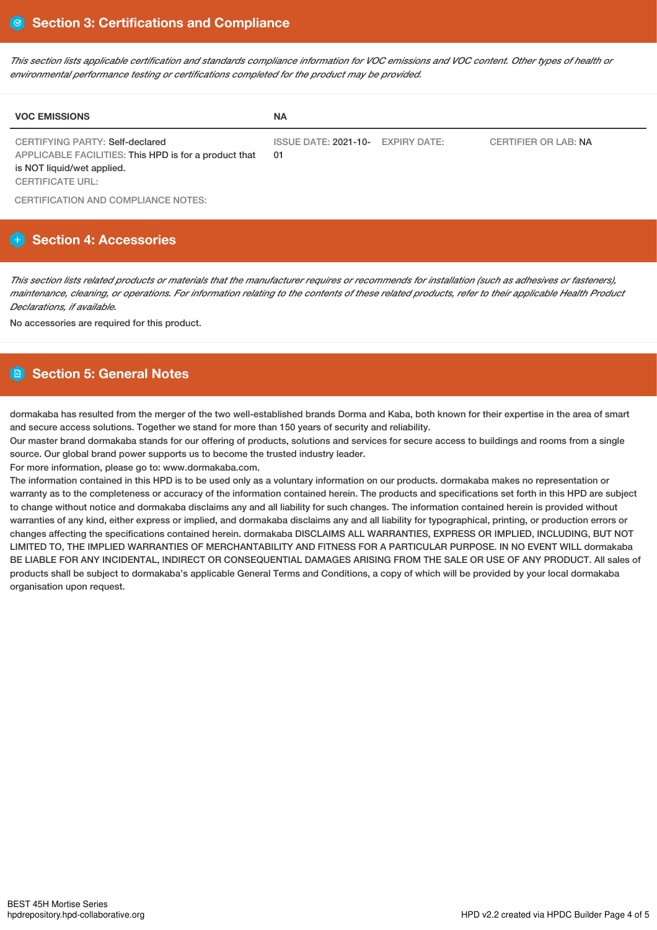This section lists applicable certification and standards compliance information for VOC emissions and VOC content. Other types of health or *environmental performance testing or certifications completed for the product may be provided.*

| <b>VOC EMISSIONS</b>                                                                                                                                     | <b>NA</b>                               |                             |
|----------------------------------------------------------------------------------------------------------------------------------------------------------|-----------------------------------------|-----------------------------|
| <b>CERTIFYING PARTY: Self-declared</b><br>APPLICABLE FACILITIES: This HPD is for a product that<br>is NOT liquid/wet applied.<br><b>CERTIFICATE URL:</b> | ISSUE DATE: 2021-10- EXPIRY DATE:<br>01 | <b>CERTIFIER OR LAB: NA</b> |

CERTIFICATION AND COMPLIANCE NOTES:

# **Section 4: Accessories**

This section lists related products or materials that the manufacturer requires or recommends for installation (such as adhesives or fasteners), maintenance, cleaning, or operations. For information relating to the contents of these related products, refer to their applicable Health Product *Declarations, if available.*

No accessories are required for this product.

# **Section 5: General Notes**

dormakaba has resulted from the merger of the two well-established brands Dorma and Kaba, both known for their expertise in the area of smart and secure access solutions. Together we stand for more than 150 years of security and reliability.

Our master brand dormakaba stands for our offering of products, solutions and services for secure access to buildings and rooms from a single source. Our global brand power supports us to become the trusted industry leader.

For more information, please go to: www.dormakaba.com.

The information contained in this HPD is to be used only as a voluntary information on our products. dormakaba makes no representation or warranty as to the completeness or accuracy of the information contained herein. The products and specifications set forth in this HPD are subject to change without notice and dormakaba disclaims any and all liability for such changes. The information contained herein is provided without warranties of any kind, either express or implied, and dormakaba disclaims any and all liability for typographical, printing, or production errors or changes affecting the specifications contained herein. dormakaba DISCLAIMS ALL WARRANTIES, EXPRESS OR IMPLIED, INCLUDING, BUT NOT LIMITED TO, THE IMPLIED WARRANTIES OF MERCHANTABILITY AND FITNESS FOR A PARTICULAR PURPOSE. IN NO EVENT WILL dormakaba BE LIABLE FOR ANY INCIDENTAL, INDIRECT OR CONSEQUENTIAL DAMAGES ARISING FROM THE SALE OR USE OF ANY PRODUCT. All sales of products shall be subject to dormakaba's applicable General Terms and Conditions, a copy of which will be provided by your local dormakaba organisation upon request.